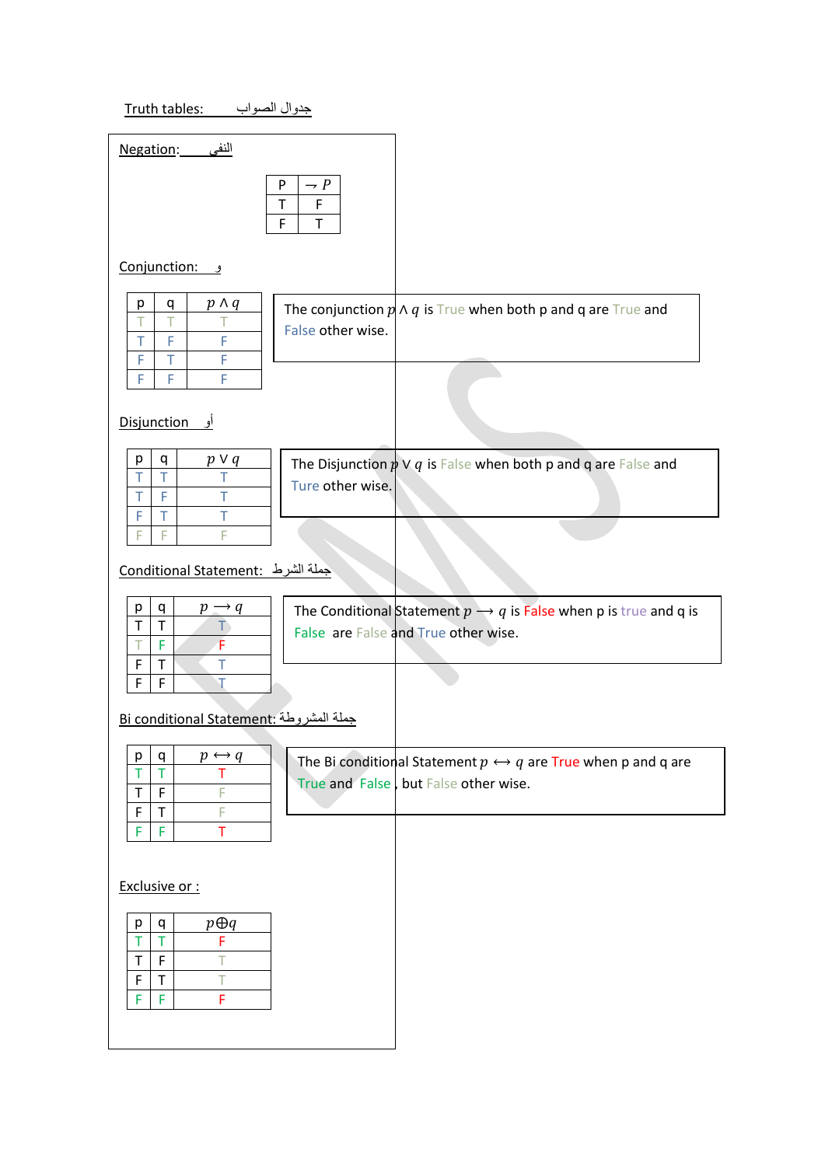## جدوال الصواب :Truth tables:

| <u> النفي       Negation:</u>                                                                           |                                                                                                                      |
|---------------------------------------------------------------------------------------------------------|----------------------------------------------------------------------------------------------------------------------|
| P<br>$\rightarrow P$<br>$\mathsf T$<br>F<br>$\mathsf F$<br>$\top$                                       |                                                                                                                      |
| <u>Conjunction:</u>                                                                                     |                                                                                                                      |
| $p \wedge q$<br>q<br>p<br>Τ<br>Т<br>Τ<br>False other wise.<br>F<br>F<br>T<br>F<br>T<br>F<br>F<br>F<br>F | The conjunction $p \wedge q$ is True when both p and q are True and                                                  |
| <b>Disjunction</b><br>او                                                                                |                                                                                                                      |
| $p \vee q$<br>р<br>q<br>T<br>T<br>Τ<br>Ture other wise.<br>T<br>$\top$<br>F<br>T<br>т<br>F              | The Disjunction $\frac{1}{p} \vee q$ is False when both p and q are False and                                        |
| F<br>F<br>F                                                                                             |                                                                                                                      |
| <u> جملة الشرط : Conditional Statement</u>                                                              |                                                                                                                      |
| p<br>q<br>$p \rightarrow q$<br>T<br>$\mathsf T$<br>T)<br>É<br>F<br>Т<br>F<br>T<br>T<br>F<br>F<br>T      | The Conditional Statement $p \rightarrow q$ is False when p is true and q is<br>False are False and True other wise. |
| <u>Bi conditional Statement: جملة المشروطة</u>                                                          |                                                                                                                      |
| p q<br>$p \leftrightarrow q$<br>T<br>Τ<br>т<br>F<br>T<br>F<br>F<br>T<br>F                               | The Bi conditional Statement $p \leftrightarrow q$ are True when p and q are<br>True and False but False other wise. |
| F<br>F<br>т                                                                                             |                                                                                                                      |
| Exclusive or:                                                                                           |                                                                                                                      |
| $p \oplus q$<br>р<br>q<br>F<br>T.<br>T<br>$\mathsf T$<br>F<br>Т<br>F<br>T<br>т<br>F<br>F<br>F           |                                                                                                                      |
|                                                                                                         |                                                                                                                      |